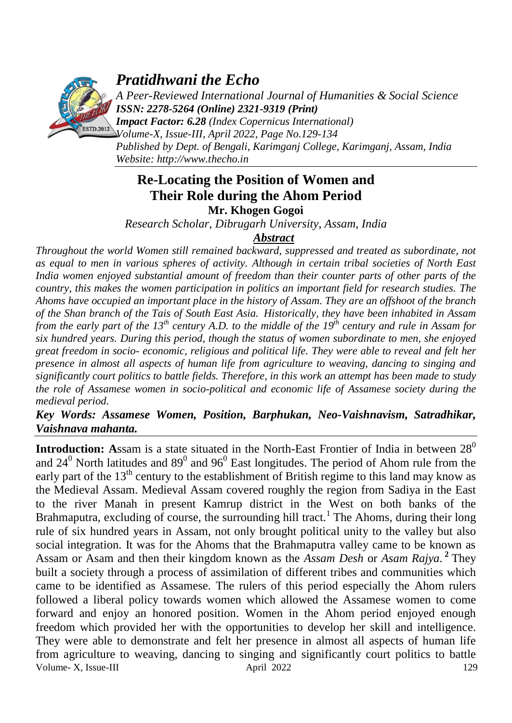

# *Pratidhwani the Echo*

*A Peer-Reviewed International Journal of Humanities & Social Science ISSN: 2278-5264 (Online) 2321-9319 (Print)*

*Impact Factor: 6.28 (Index Copernicus International) Volume-X, Issue-III, April 2022, Page No.129-134 Published by Dept. of Bengali, Karimganj College, Karimganj, Assam, India Website: [http://www.thecho.in](http://www.thecho.in/)*

## **Re-Locating the Position of Women and Their Role during the Ahom Period Mr. Khogen Gogoi**

*Research Scholar, Dibrugarh University, Assam, India*

## *Abstract*

*Throughout the world Women still remained backward, suppressed and treated as subordinate, not as equal to men in various spheres of activity. Although in certain tribal societies of North East India women enjoyed substantial amount of freedom than their counter parts of other parts of the country, this makes the women participation in politics an important field for research studies. The Ahoms have occupied an important place in the history of Assam. They are an offshoot of the branch of the Shan branch of the Tais of South East Asia. Historically, they have been inhabited in Assam from the early part of the 13th century A.D. to the middle of the 19th century and rule in Assam for six hundred years. During this period, though the status of women subordinate to men, she enjoyed great freedom in socio- economic, religious and political life. They were able to reveal and felt her presence in almost all aspects of human life from agriculture to weaving, dancing to singing and significantly court politics to battle fields. Therefore, in this work an attempt has been made to study the role of Assamese women in socio-political and economic life of Assamese society during the medieval period.* 

## *Key Words: Assamese Women, Position, Barphukan, Neo-Vaishnavism, Satradhikar, Vaishnava mahanta.*

Volume- X, Issue-III april 2022 129 **Introduction:** Assam is a state situated in the North-East Frontier of India in between 28<sup>0</sup> and 24<sup>0</sup> North latitudes and 89<sup>0</sup> and 96<sup>0</sup> East longitudes. The period of Ahom rule from the early part of the  $13<sup>th</sup>$  century to the establishment of British regime to this land may know as the Medieval Assam. Medieval Assam covered roughly the region from Sadiya in the East to the river Manah in present Kamrup district in the West on both banks of the Brahmaputra, excluding of course, the surrounding hill tract.<sup>1</sup> The Ahoms, during their long rule of six hundred years in Assam, not only brought political unity to the valley but also social integration. It was for the Ahoms that the Brahmaputra valley came to be known as Assam or Asam and then their kingdom known as the *Assam Desh* or *Asam Rajya*. **2** They built a society through a process of assimilation of different tribes and communities which came to be identified as Assamese. The rulers of this period especially the Ahom rulers followed a liberal policy towards women which allowed the Assamese women to come forward and enjoy an honored position. Women in the Ahom period enjoyed enough freedom which provided her with the opportunities to develop her skill and intelligence. They were able to demonstrate and felt her presence in almost all aspects of human life from agriculture to weaving, dancing to singing and significantly court politics to battle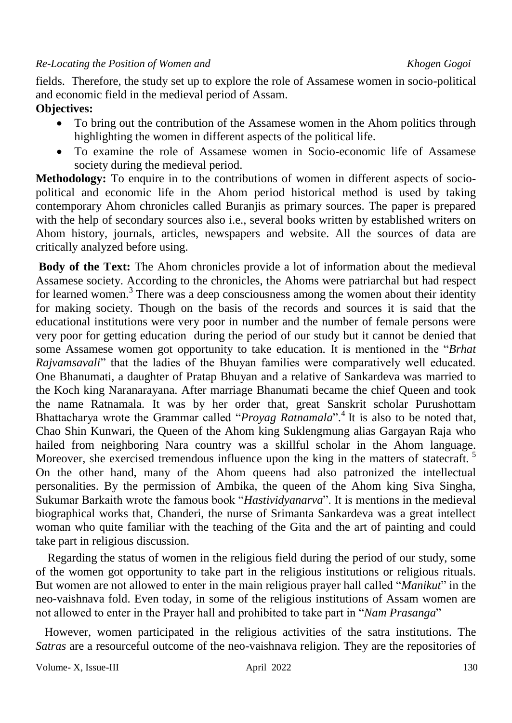fields. Therefore, the study set up to explore the role of Assamese women in socio-political and economic field in the medieval period of Assam.

## **Objectives:**

- To bring out the contribution of the Assamese women in the Ahom politics through highlighting the women in different aspects of the political life.
- To examine the role of Assamese women in Socio-economic life of Assamese society during the medieval period.

**Methodology:** To enquire in to the contributions of women in different aspects of sociopolitical and economic life in the Ahom period historical method is used by taking contemporary Ahom chronicles called Buranjis as primary sources. The paper is prepared with the help of secondary sources also i.e., several books written by established writers on Ahom history, journals, articles, newspapers and website. All the sources of data are critically analyzed before using. 

**Body of the Text:** The Ahom chronicles provide a lot of information about the medieval Assamese society. According to the chronicles, the Ahoms were patriarchal but had respect for learned women.<sup>3</sup> There was a deep consciousness among the women about their identity for making society. Though on the basis of the records and sources it is said that the educational institutions were very poor in number and the number of female persons were very poor for getting education during the period of our study but it cannot be denied that some Assamese women got opportunity to take education. It is mentioned in the "*Brhat Rajvamsavali*" that the ladies of the Bhuyan families were comparatively well educated. One Bhanumati, a daughter of Pratap Bhuyan and a relative of Sankardeva was married to the Koch king Naranarayana. After marriage Bhanumati became the chief Queen and took the name Ratnamala. It was by her order that, great Sanskrit scholar Purushottam Bhattacharya wrote the Grammar called "*Proyag Ratnamala*". 4 It is also to be noted that, Chao Shin Kunwari*,* the Queen of the Ahom king Suklengmung alias Gargayan Raja who hailed from neighboring Nara country was a skillful scholar in the Ahom language. Moreover, she exercised tremendous influence upon the king in the matters of statecraft*.*  5 On the other hand, many of the Ahom queens had also patronized the intellectual personalities. By the permission of Ambika, the queen of the Ahom king Siva Singha, Sukumar Barkaith wrote the famous book "*Hastividyanarva*". It is mentions in the medieval biographical works that, Chanderi, the nurse of Srimanta Sankardeva was a great intellect woman who quite familiar with the teaching of the Gita and the art of painting and could take part in religious discussion.

 Regarding the status of women in the religious field during the period of our study, some of the women got opportunity to take part in the religious institutions or religious rituals. But women are not allowed to enter in the main religious prayer hall called "*Manikut*" in the neo-vaishnava fold. Even today, in some of the religious institutions of Assam women are not allowed to enter in the Prayer hall and prohibited to take part in "*Nam Prasanga*"

 However, women participated in the religious activities of the satra institutions. The *Satras* are a resourceful outcome of the neo-vaishnava religion. They are the repositories of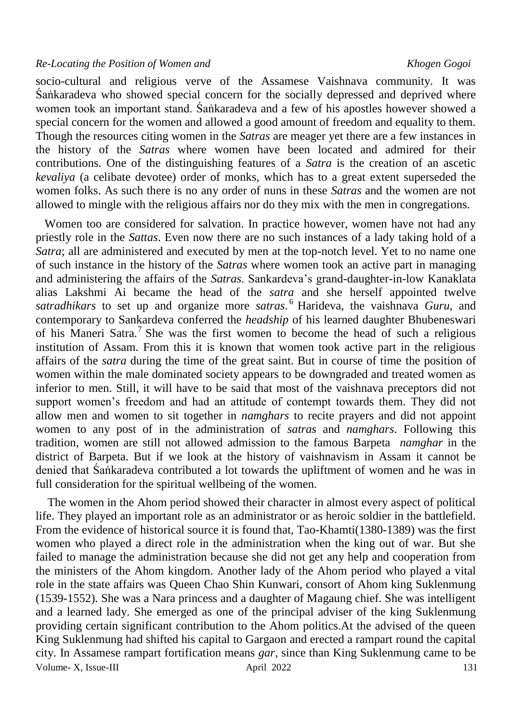### *Re-Locating the Position of Women and Khogen Gogoi*

socio-cultural and religious verve of the Assamese Vaishnava community. It was Śaṅkaradeva who showed special concern for the socially depressed and deprived where women took an important stand. Śaṅkaradeva and a few of his apostles however showed a special concern for the women and allowed a good amount of freedom and equality to them. Though the resources citing women in the *Satras* are meager yet there are a few instances in the history of the *Satras* where women have been located and admired for their contributions. One of the distinguishing features of a *Satra* is the creation of an ascetic *kevaliya* (a celibate devotee) order of monks, which has to a great extent superseded the women folks. As such there is no any order of nuns in these *Satras* and the women are not allowed to mingle with the religious affairs nor do they mix with the men in congregations.

 Women too are considered for salvation. In practice however, women have not had any priestly role in the *Sattas*. Even now there are no such instances of a lady taking hold of a *Satra*; all are administered and executed by men at the top-notch level. Yet to no name one of such instance in the history of the *Satras* where women took an active part in managing and administering the affairs of the *Satras*. Sankardeva's grand-daughter-in-low Kanaklata alias Lakshmi Ai became the head of the *satra* and she herself appointed twelve *satradhikars* to set up and organize more *satras*. <sup>6</sup> Harideva, the vaishnava *Guru*, and contemporary to Sankardeva conferred the *headship* of his learned daughter Bhubeneswari of his Maneri Satra.<sup>7</sup> She was the first women to become the head of such a religious institution of Assam. From this it is known that women took active part in the religious affairs of the *satra* during the time of the great saint. But in course of time the position of women within the male dominated society appears to be downgraded and treated women as inferior to men. Still, it will have to be said that most of the vaishnava preceptors did not support women's freedom and had an attitude of contempt towards them. They did not allow men and women to sit together in *namghars* to recite prayers and did not appoint women to any post of in the administration of *satras* and *namghars*. Following this tradition, women are still not allowed admission to the famous Barpeta *namghar* in the district of Barpeta. But if we look at the history of vaishnavism in Assam it cannot be denied that Śaṅkaradeva contributed a lot towards the upliftment of women and he was in full consideration for the spiritual wellbeing of the women.

Volume- X, Issue-III april 2022 131 The women in the Ahom period showed their character in almost every aspect of political life. They played an important role as an administrator or as heroic soldier in the battlefield. From the evidence of historical source it is found that, Tao-Khamti(1380-1389) was the first women who played a direct role in the administration when the king out of war. But she failed to manage the administration because she did not get any help and cooperation from the ministers of the Ahom kingdom. Another lady of the Ahom period who played a vital role in the state affairs was Queen Chao Shin Kunwari, consort of Ahom king Suklenmung (1539-1552). She was a Nara princess and a daughter of Magaung chief. She was intelligent and a learned lady. She emerged as one of the principal adviser of the king Suklenmung providing certain significant contribution to the Ahom politics.At the advised of the queen King Suklenmung had shifted his capital to Gargaon and erected a rampart round the capital city. In Assamese rampart fortification means *gar*, since than King Suklenmung came to be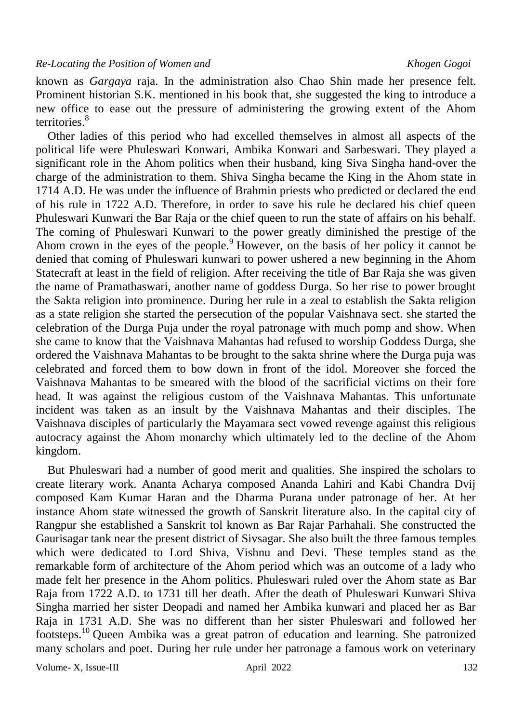known as *Gargaya* raja. In the administration also Chao Shin made her presence felt. Prominent historian S.K. mentioned in his book that, she suggested the king to introduce a new office to ease out the pressure of administering the growing extent of the Ahom territories.<sup>8</sup>

 Other ladies of this period who had excelled themselves in almost all aspects of the political life were Phuleswari Konwari, Ambika Konwari and Sarbeswari. They played a significant role in the Ahom politics when their husband, king Siva Singha hand-over the charge of the administration to them. Shiva Singha became the King in the Ahom state in 1714 A.D. He was under the influence of Brahmin priests who predicted or declared the end of his rule in 1722 A.D. Therefore, in order to save his rule he declared his chief queen Phuleswari Kunwari the Bar Raja or the chief queen to run the state of affairs on his behalf. The coming of Phuleswari Kunwari to the power greatly diminished the prestige of the Ahom crown in the eyes of the people.  $\frac{9}{2}$  However, on the basis of her policy it cannot be denied that coming of Phuleswari kunwari to power ushered a new beginning in the Ahom Statecraft at least in the field of religion. After receiving the title of Bar Raja she was given the name of Pramathaswari, another name of goddess Durga. So her rise to power brought the Sakta religion into prominence. During her rule in a zeal to establish the Sakta religion as a state religion she started the persecution of the popular Vaishnava sect. she started the celebration of the Durga Puja under the royal patronage with much pomp and show. When she came to know that the Vaishnava Mahantas had refused to worship Goddess Durga, she ordered the Vaishnava Mahantas to be brought to the sakta shrine where the Durga puja was celebrated and forced them to bow down in front of the idol. Moreover she forced the Vaishnava Mahantas to be smeared with the blood of the sacrificial victims on their fore head. It was against the religious custom of the Vaishnava Mahantas. This unfortunate incident was taken as an insult by the Vaishnava Mahantas and their disciples. The Vaishnava disciples of particularly the Mayamara sect vowed revenge against this religious autocracy against the Ahom monarchy which ultimately led to the decline of the Ahom kingdom.

But Phuleswari had a number of good merit and qualities. She inspired the scholars to create literary work. Ananta Acharya composed Ananda Lahiri and Kabi Chandra Dvij composed Kam Kumar Haran and the Dharma Purana under patronage of her. At her instance Ahom state witnessed the growth of Sanskrit literature also. In the capital city of Rangpur she established a Sanskrit tol known as Bar Rajar Parhahali. She constructed the Gaurisagar tank near the present district of Sivsagar. She also built the three famous temples which were dedicated to Lord Shiva, Vishnu and Devi. These temples stand as the remarkable form of architecture of the Ahom period which was an outcome of a lady who made felt her presence in the Ahom politics. Phuleswari ruled over the Ahom state as Bar Raja from 1722 A.D. to 1731 till her death. After the death of Phuleswari Kunwari Shiva Singha married her sister Deopadi and named her Ambika kunwari and placed her as Bar Raja in 1731 A.D. She was no different than her sister Phuleswari and followed her footsteps.<sup>10</sup> Queen Ambika was a great patron of education and learning. She patronized many scholars and poet. During her rule under her patronage a famous work on veterinary

Volume- X, Issue-III april 2022 132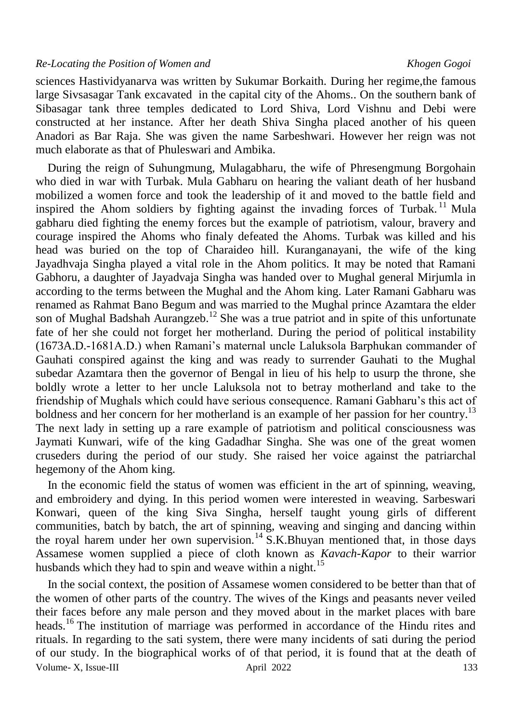### *Re-Locating the Position of Women and Khogen Gogoi*

sciences Hastividyanarva was written by Sukumar Borkaith. During her regime,the famous large Sivsasagar Tank excavated in the capital city of the Ahoms.. On the southern bank of Sibasagar tank three temples dedicated to Lord Shiva, Lord Vishnu and Debi were constructed at her instance. After her death Shiva Singha placed another of his queen Anadori as Bar Raja. She was given the name Sarbeshwari. However her reign was not much elaborate as that of Phuleswari and Ambika.

 During the reign of Suhungmung, Mulagabharu, the wife of Phresengmung Borgohain who died in war with Turbak. Mula Gabharu on hearing the valiant death of her husband mobilized a women force and took the leadership of it and moved to the battle field and inspired the Ahom soldiers by fighting against the invading forces of Turbak.<sup>11</sup> Mula gabharu died fighting the enemy forces but the example of patriotism, valour, bravery and courage inspired the Ahoms who finaly defeated the Ahoms. Turbak was killed and his head was buried on the top of Charaideo hill. Kuranganayani, the wife of the king Jayadhvaja Singha played a vital role in the Ahom politics. It may be noted that Ramani Gabhoru, a daughter of Jayadvaja Singha was handed over to Mughal general Mirjumla in according to the terms between the Mughal and the Ahom king. Later Ramani Gabharu was renamed as Rahmat Bano Begum and was married to the Mughal prince Azamtara the elder son of Mughal Badshah Aurangzeb.<sup>12</sup> She was a true patriot and in spite of this unfortunate fate of her she could not forget her motherland. During the period of political instability (1673A.D.-1681A.D.) when Ramani's maternal uncle Laluksola Barphukan commander of Gauhati conspired against the king and was ready to surrender Gauhati to the Mughal subedar Azamtara then the governor of Bengal in lieu of his help to usurp the throne, she boldly wrote a letter to her uncle Laluksola not to betray motherland and take to the friendship of Mughals which could have serious consequence. Ramani Gabharu's this act of boldness and her concern for her motherland is an example of her passion for her country.<sup>13</sup> The next lady in setting up a rare example of patriotism and political consciousness was Jaymati Kunwari, wife of the king Gadadhar Singha. She was one of the great women cruseders during the period of our study. She raised her voice against the patriarchal hegemony of the Ahom king.

 In the economic field the status of women was efficient in the art of spinning, weaving, and embroidery and dying. In this period women were interested in weaving. Sarbeswari Konwari, queen of the king Siva Singha, herself taught young girls of different communities, batch by batch, the art of spinning, weaving and singing and dancing within the royal harem under her own supervision.<sup>14</sup> S.K.Bhuyan mentioned that, in those days Assamese women supplied a piece of cloth known as *Kavach-Kapor* to their warrior husbands which they had to spin and weave within a night.<sup>15</sup>

Volume- X, Issue-III and April 2022 133 In the social context, the position of Assamese women considered to be better than that of the women of other parts of the country. The wives of the Kings and peasants never veiled their faces before any male person and they moved about in the market places with bare heads.<sup>16</sup> The institution of marriage was performed in accordance of the Hindu rites and rituals. In regarding to the sati system, there were many incidents of sati during the period of our study. In the biographical works of of that period, it is found that at the death of